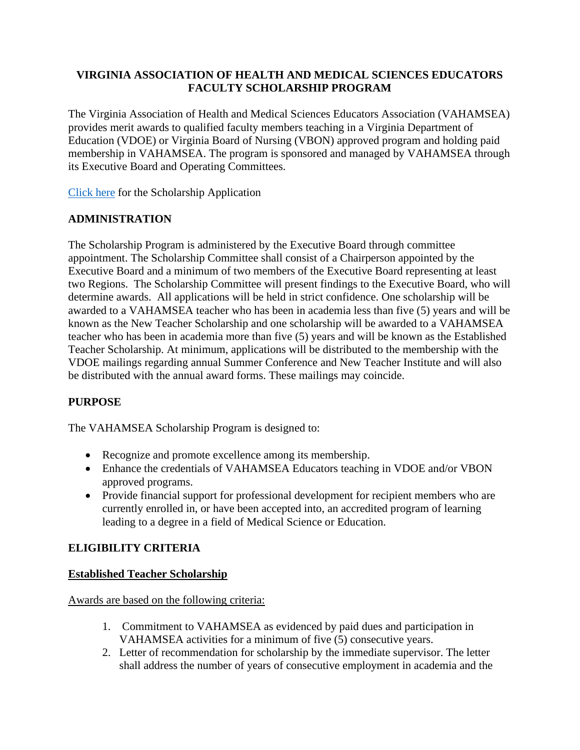## **VIRGINIA ASSOCIATION OF HEALTH AND MEDICAL SCIENCES EDUCATORS FACULTY SCHOLARSHIP PROGRAM**

The Virginia Association of Health and Medical Sciences Educators Association (VAHAMSEA) provides merit awards to qualified faculty members teaching in a Virginia Department of Education (VDOE) or Virginia Board of Nursing (VBON) approved program and holding paid membership in VAHAMSEA. The program is sponsored and managed by VAHAMSEA through its Executive Board and Operating Committees.

[Click here](https://www.vahamsea.org/application) for the Scholarship Application

# **ADMINISTRATION**

The Scholarship Program is administered by the Executive Board through committee appointment. The Scholarship Committee shall consist of a Chairperson appointed by the Executive Board and a minimum of two members of the Executive Board representing at least two Regions. The Scholarship Committee will present findings to the Executive Board, who will determine awards. All applications will be held in strict confidence. One scholarship will be awarded to a VAHAMSEA teacher who has been in academia less than five (5) years and will be known as the New Teacher Scholarship and one scholarship will be awarded to a VAHAMSEA teacher who has been in academia more than five (5) years and will be known as the Established Teacher Scholarship. At minimum, applications will be distributed to the membership with the VDOE mailings regarding annual Summer Conference and New Teacher Institute and will also be distributed with the annual award forms. These mailings may coincide.

# **PURPOSE**

The VAHAMSEA Scholarship Program is designed to:

- Recognize and promote excellence among its membership.
- Enhance the credentials of VAHAMSEA Educators teaching in VDOE and/or VBON approved programs.
- Provide financial support for professional development for recipient members who are currently enrolled in, or have been accepted into, an accredited program of learning leading to a degree in a field of Medical Science or Education.

# **ELIGIBILITY CRITERIA**

## **Established Teacher Scholarship**

Awards are based on the following criteria:

- 1. Commitment to VAHAMSEA as evidenced by paid dues and participation in VAHAMSEA activities for a minimum of five (5) consecutive years.
- 2. Letter of recommendation for scholarship by the immediate supervisor. The letter shall address the number of years of consecutive employment in academia and the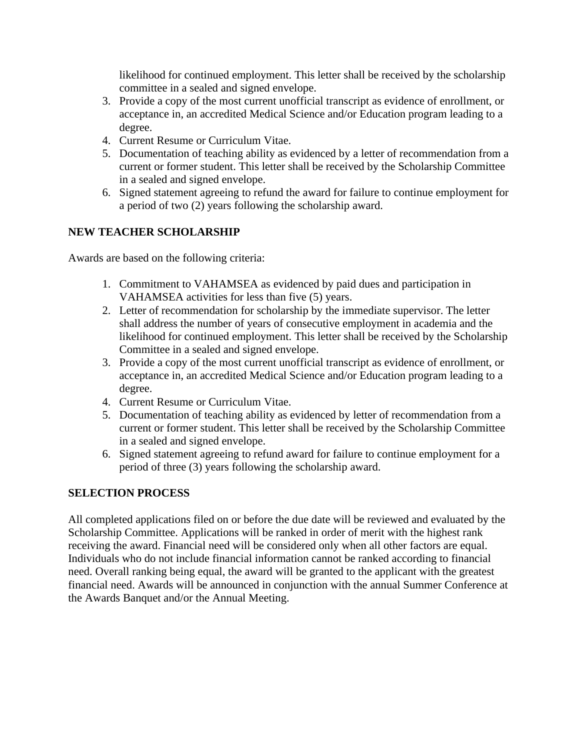likelihood for continued employment. This letter shall be received by the scholarship committee in a sealed and signed envelope.

- 3. Provide a copy of the most current unofficial transcript as evidence of enrollment, or acceptance in, an accredited Medical Science and/or Education program leading to a degree.
- 4. Current Resume or Curriculum Vitae.
- 5. Documentation of teaching ability as evidenced by a letter of recommendation from a current or former student. This letter shall be received by the Scholarship Committee in a sealed and signed envelope.
- 6. Signed statement agreeing to refund the award for failure to continue employment for a period of two (2) years following the scholarship award.

# **NEW TEACHER SCHOLARSHIP**

Awards are based on the following criteria:

- 1. Commitment to VAHAMSEA as evidenced by paid dues and participation in VAHAMSEA activities for less than five (5) years.
- 2. Letter of recommendation for scholarship by the immediate supervisor. The letter shall address the number of years of consecutive employment in academia and the likelihood for continued employment. This letter shall be received by the Scholarship Committee in a sealed and signed envelope.
- 3. Provide a copy of the most current unofficial transcript as evidence of enrollment, or acceptance in, an accredited Medical Science and/or Education program leading to a degree.
- 4. Current Resume or Curriculum Vitae.
- 5. Documentation of teaching ability as evidenced by letter of recommendation from a current or former student. This letter shall be received by the Scholarship Committee in a sealed and signed envelope.
- 6. Signed statement agreeing to refund award for failure to continue employment for a period of three (3) years following the scholarship award.

## **SELECTION PROCESS**

All completed applications filed on or before the due date will be reviewed and evaluated by the Scholarship Committee. Applications will be ranked in order of merit with the highest rank receiving the award. Financial need will be considered only when all other factors are equal. Individuals who do not include financial information cannot be ranked according to financial need. Overall ranking being equal, the award will be granted to the applicant with the greatest financial need. Awards will be announced in conjunction with the annual Summer Conference at the Awards Banquet and/or the Annual Meeting.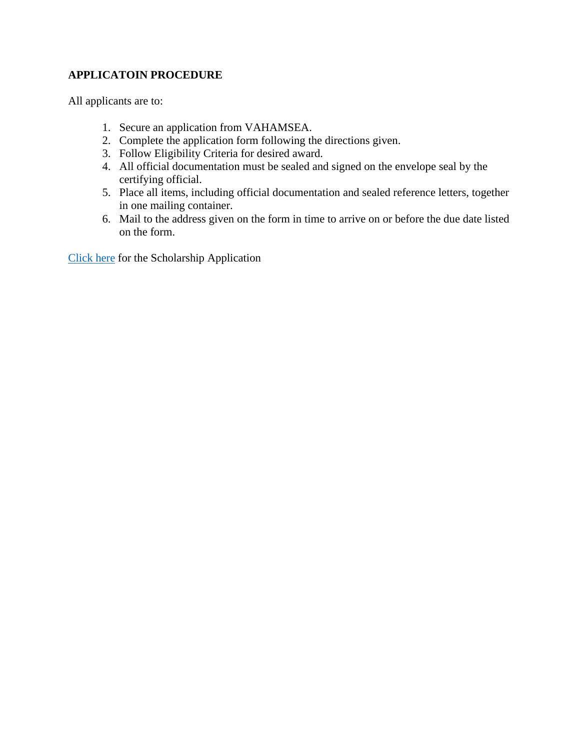# **APPLICATOIN PROCEDURE**

All applicants are to:

- 1. Secure an application from VAHAMSEA.
- 2. Complete the application form following the directions given.
- 3. Follow Eligibility Criteria for desired award.
- 4. All official documentation must be sealed and signed on the envelope seal by the certifying official.
- 5. Place all items, including official documentation and sealed reference letters, together in one mailing container.
- 6. Mail to the address given on the form in time to arrive on or before the due date listed on the form.

[Click here](https://www.vahamsea.org/application) for the Scholarship Application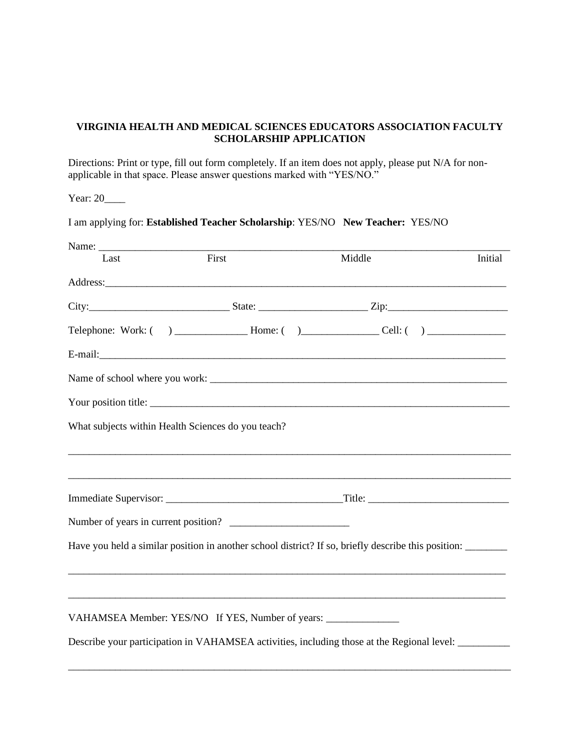#### **VIRGINIA HEALTH AND MEDICAL SCIENCES EDUCATORS ASSOCIATION FACULTY SCHOLARSHIP APPLICATION**

Directions: Print or type, fill out form completely. If an item does not apply, please put N/A for nonapplicable in that space. Please answer questions marked with "YES/NO."

Year: 20\_\_\_\_\_

I am applying for: **Established Teacher Scholarship**: YES/NO **New Teacher:** YES/NO

| Last                                               | First                                                                            | Middle                                                                                                                                                                                                                         | Initial |
|----------------------------------------------------|----------------------------------------------------------------------------------|--------------------------------------------------------------------------------------------------------------------------------------------------------------------------------------------------------------------------------|---------|
|                                                    |                                                                                  | Address: and the contract of the contract of the contract of the contract of the contract of the contract of the contract of the contract of the contract of the contract of the contract of the contract of the contract of t |         |
|                                                    |                                                                                  |                                                                                                                                                                                                                                |         |
|                                                    |                                                                                  |                                                                                                                                                                                                                                |         |
|                                                    |                                                                                  |                                                                                                                                                                                                                                |         |
|                                                    |                                                                                  |                                                                                                                                                                                                                                |         |
|                                                    |                                                                                  | Your position title:                                                                                                                                                                                                           |         |
| What subjects within Health Sciences do you teach? |                                                                                  |                                                                                                                                                                                                                                |         |
|                                                    |                                                                                  |                                                                                                                                                                                                                                |         |
|                                                    |                                                                                  |                                                                                                                                                                                                                                |         |
|                                                    | Number of years in current position?                                             |                                                                                                                                                                                                                                |         |
|                                                    |                                                                                  | Have you held a similar position in another school district? If so, briefly describe this position: ______                                                                                                                     |         |
|                                                    |                                                                                  |                                                                                                                                                                                                                                |         |
|                                                    | VAHAMSEA Member: YES/NO If YES, Number of years: _______________________________ |                                                                                                                                                                                                                                |         |
|                                                    |                                                                                  | Describe your participation in VAHAMSEA activities, including those at the Regional level: ________                                                                                                                            |         |
|                                                    |                                                                                  |                                                                                                                                                                                                                                |         |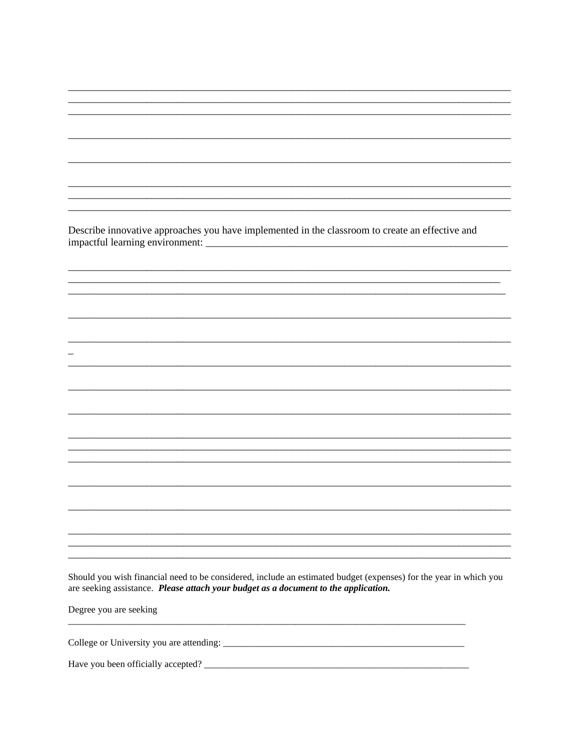Describe innovative approaches you have implemented in the classroom to create an effective and 

<u> a shekara ta 1999 a shekara ta 1999 a shekara ta 1999 a shekara ta 1999 a shekara ta 1999 a shekara ta 1999 a</u>

Should you wish financial need to be considered, include an estimated budget (expenses) for the year in which you are seeking assistance. Please attach your budget as a document to the application.

Degree you are seeking